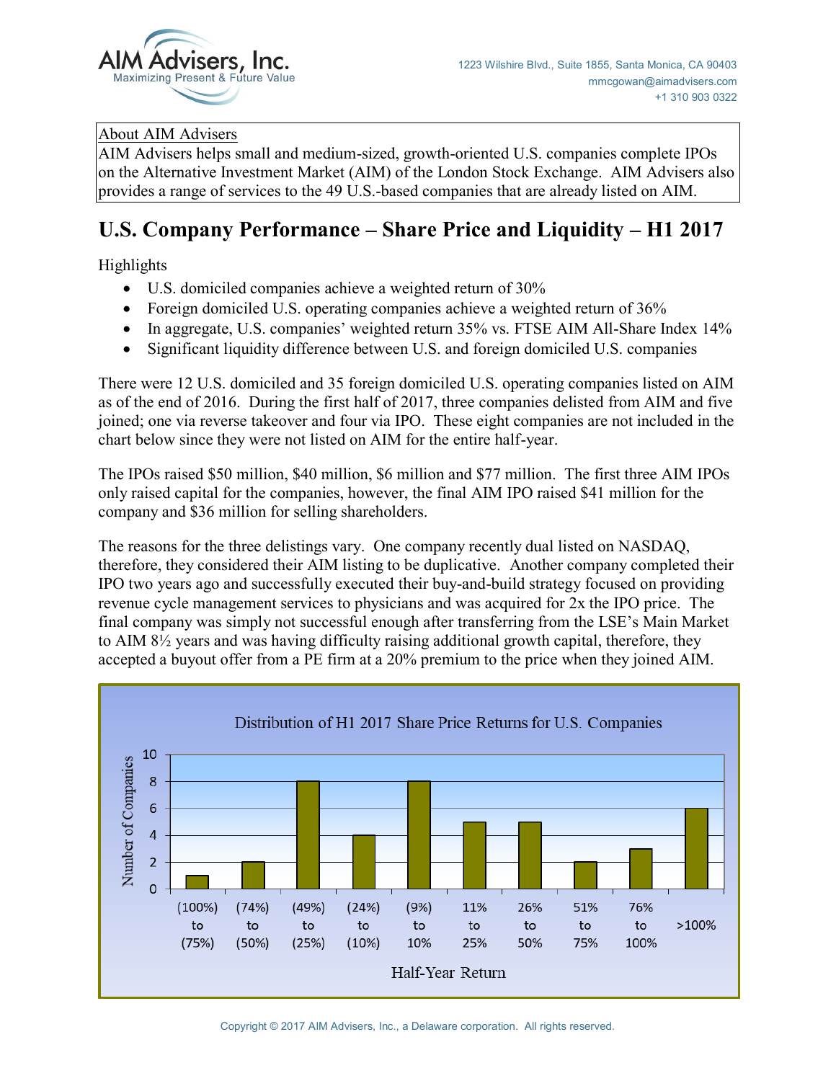

## About AIM Advisers

AIM Advisers helps small and medium-sized, growth-oriented U.S. companies complete IPOs on the Alternative Investment Market (AIM) of the London Stock Exchange. AIM Advisers also provides a range of services to the 49 U.S.-based companies that are already listed on AIM.

## **U.S. Company Performance – Share Price and Liquidity – H1 2017**

Highlights

- U.S. domiciled companies achieve a weighted return of 30%
- Foreign domiciled U.S. operating companies achieve a weighted return of 36%
- In aggregate, U.S. companies' weighted return 35% vs. FTSE AIM All-Share Index 14%
- Significant liquidity difference between U.S. and foreign domiciled U.S. companies

There were 12 U.S. domiciled and 35 foreign domiciled U.S. operating companies listed on AIM as of the end of 2016. During the first half of 2017, three companies delisted from AIM and five joined; one via reverse takeover and four via IPO. These eight companies are not included in the chart below since they were not listed on AIM for the entire half-year.

The IPOs raised \$50 million, \$40 million, \$6 million and \$77 million. The first three AIM IPOs only raised capital for the companies, however, the final AIM IPO raised \$41 million for the company and \$36 million for selling shareholders.

The reasons for the three delistings vary. One company recently dual listed on NASDAQ, therefore, they considered their AIM listing to be duplicative. Another company completed their IPO two years ago and successfully executed their buy-and-build strategy focused on providing revenue cycle management services to physicians and was acquired for 2x the IPO price. The final company was simply not successful enough after transferring from the LSE's Main Market to AIM 8½ years and was having difficulty raising additional growth capital, therefore, they accepted a buyout offer from a PE firm at a 20% premium to the price when they joined AIM.

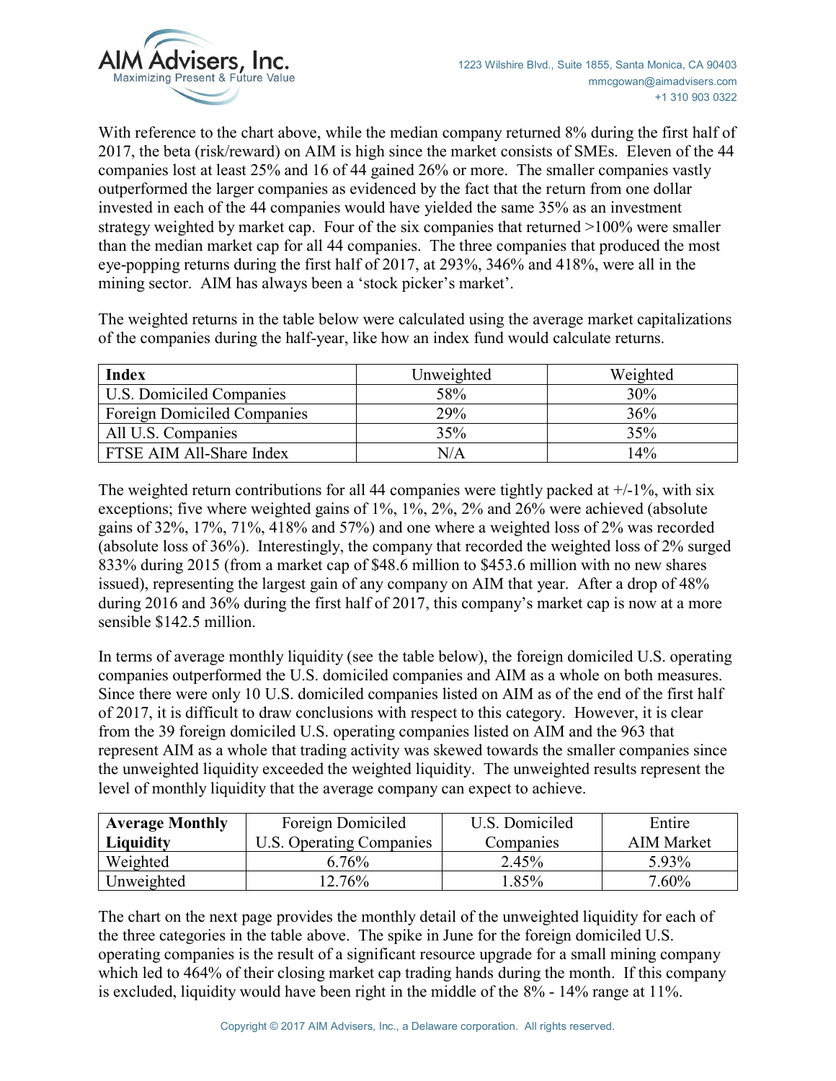

With reference to the chart above, while the median company returned 8% during the first half of 2017, the beta (risk/reward) on AIM is high since the market consists of SMEs. Eleven of the 44 companies lost at least 25% and 16 of 44 gained 26% or more. The smaller companies vastly outperformed the larger companies as evidenced by the fact that the return from one dollar invested in each of the 44 companies would have yielded the same 35% as an investment strategy weighted by market cap. Four of the six companies that returned >100% were smaller than the median market cap for all 44 companies. The three companies that produced the most eye-popping returns during the first half of 2017, at 293%, 346% and 418%, were all in the mining sector. AIM has always been a 'stock picker's market'.

The weighted returns in the table below were calculated using the average market capitalizations of the companies during the half-year, like how an index fund would calculate returns.

| <b>Index</b>                       | Unweighted | Weighted |
|------------------------------------|------------|----------|
| U.S. Domiciled Companies           | 58%        | 30%      |
| <b>Foreign Domiciled Companies</b> | 29%        | 36%      |
| All U.S. Companies                 | 35%        | 35%      |
| FTSE AIM All-Share Index           | N/A        | $14\%$   |

The weighted return contributions for all 44 companies were tightly packed at  $+/-1\%$ , with six exceptions; five where weighted gains of 1%, 1%, 2%, 2% and 26% were achieved (absolute gains of 32%, 17%, 71%, 418% and 57%) and one where a weighted loss of 2% was recorded (absolute loss of 36%). Interestingly, the company that recorded the weighted loss of 2% surged 833% during 2015 (from a market cap of \$48.6 million to \$453.6 million with no new shares issued), representing the largest gain of any company on AIM that year. After a drop of 48% during 2016 and 36% during the first half of 2017, this company's market cap is now at a more sensible \$142.5 million.

In terms of average monthly liquidity (see the table below), the foreign domiciled U.S. operating companies outperformed the U.S. domiciled companies and AIM as a whole on both measures. Since there were only 10 U.S. domiciled companies listed on AIM as of the end of the first half of 2017, it is difficult to draw conclusions with respect to this category. However, it is clear from the 39 foreign domiciled U.S. operating companies listed on AIM and the 963 that represent AIM as a whole that trading activity was skewed towards the smaller companies since the unweighted liquidity exceeded the weighted liquidity. The unweighted results represent the level of monthly liquidity that the average company can expect to achieve.

| <b>Average Monthly</b> | Foreign Domiciled        | U.S. Domiciled | Entire            |
|------------------------|--------------------------|----------------|-------------------|
| Liquidity              | U.S. Operating Companies | Companies      | <b>AIM Market</b> |
| Weighted               | 6.76%                    | 2.45%          | 5.93%             |
| Unweighted             | $12.76\%$                | .85%           | $7.60\%$          |

The chart on the next page provides the monthly detail of the unweighted liquidity for each of the three categories in the table above. The spike in June for the foreign domiciled U.S. operating companies is the result of a significant resource upgrade for a small mining company which led to 464% of their closing market cap trading hands during the month. If this company is excluded, liquidity would have been right in the middle of the 8% - 14% range at 11%.